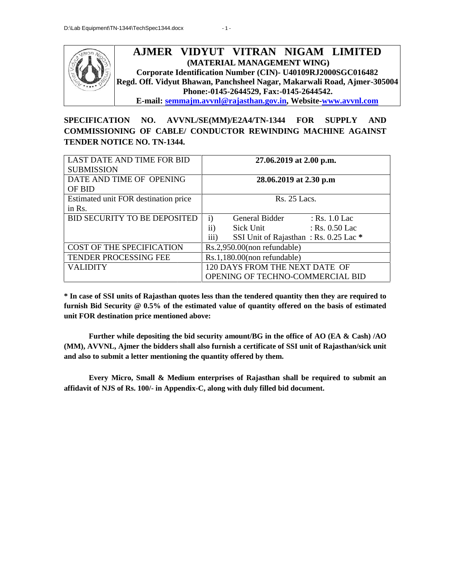

#### **AJMER VIDYUT VITRAN NIGAM LIMITED NIGAM (MATERIAL MANAGEMENT WING) Corporate Identification Number (CIN)- U40109RJ2000SGC016482 Regd. Off. Vidyut Bhawan, Panchsheel Nagar, Makarwali Road, Ajmer-305004 Phone:-0145-2644529, Fax:-0145-2644542. E-mail: semmajm.avvnl@rajasthan.gov.in, Website-www.avvnl.com** (MATERIAL MANAGEMENT WING)<br>ntification Number (CIN)- U40109RJ2000SGC016482<br>hawan, Panchsheel Nagar, Makarwali Road, Ajmer-3<sup>,</sup>

**SPECIFICATION NO. AVVNL/SE(MM)/E2A4/TN-1344 FOR SUPPLY AND** SPECIFICATION NO. AVVNL/SE(MM)/E2A4/TN-1344 FOR SUPPLY AND<br>COMMISSIONING OF CABLE/ CONDUCTOR REWINDING MACHINE AGAINST **TENDER NOTICE NO. TN-1344.**

| <b>LAST DATE AND TIME FOR BID</b><br><b>SUBMISSION</b> | 27.06.2019 at 2.00 p.m.                                                                                                                                                                                                                                                                                                                                                                                     |  |
|--------------------------------------------------------|-------------------------------------------------------------------------------------------------------------------------------------------------------------------------------------------------------------------------------------------------------------------------------------------------------------------------------------------------------------------------------------------------------------|--|
| DATE AND TIME OF OPENING<br>OF BID                     | 28.06.2019 at 2.30 p.m                                                                                                                                                                                                                                                                                                                                                                                      |  |
| Estimated unit FOR destination price<br>in Rs.         | Rs. 25 Lacs.                                                                                                                                                                                                                                                                                                                                                                                                |  |
| <b>BID SECURITY TO BE DEPOSITED</b>                    | General Bidder<br>: $Rs. 1.0$ Lac<br>$\mathbf{i}$<br>$\mathbf{ii}$<br>Sick Unit<br>: Rs. 0.50 Lac<br>iii)<br>SSI Unit of Rajasthan: Rs. 0.25 Lac *                                                                                                                                                                                                                                                          |  |
| <b>COST OF THE SPECIFICATION</b>                       | Rs.2,950.00(non refundable)                                                                                                                                                                                                                                                                                                                                                                                 |  |
| TENDER PROCESSING FEE                                  | Rs.1,180.00(non refundable)                                                                                                                                                                                                                                                                                                                                                                                 |  |
| <b>VALIDITY</b>                                        | 120 DAYS FROM THE NEXT DATE OF<br>OPENING OF TECHNO-COMMERCIAL BID                                                                                                                                                                                                                                                                                                                                          |  |
| unit FOR destination price mentioned above:            | * In case of SSI units of Rajasthan quotes less than the tendered quantity then they are required to<br>furnish Bid Security $@0.5\%$ of the estimated value of quantity offered on the basis of estimated<br>Further while depositing the bid security amount/BG in the office of AO (EA & Cash) /AO<br>(MM), AVVNL, Ajmer the bidders shall also furnish a certificate of SSI unit of Rajasthan/sick unit |  |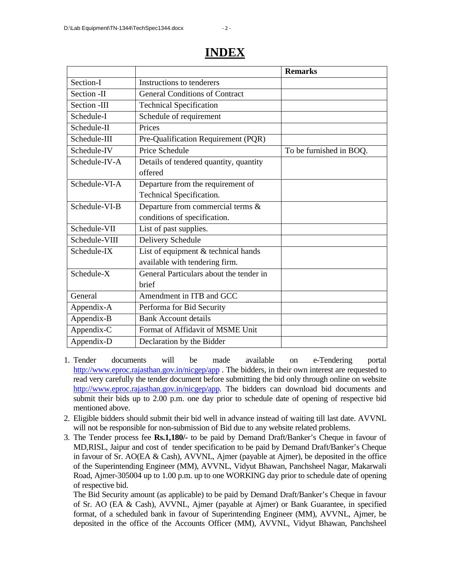|               |                                         | <b>Remarks</b>          |
|---------------|-----------------------------------------|-------------------------|
| Section-I     | Instructions to tenderers               |                         |
| Section -II   | <b>General Conditions of Contract</b>   |                         |
| Section -III  | <b>Technical Specification</b>          |                         |
| Schedule-I    | Schedule of requirement                 |                         |
| Schedule-II   | Prices                                  |                         |
| Schedule-III  | Pre-Qualification Requirement (PQR)     |                         |
| Schedule-IV   | Price Schedule                          | To be furnished in BOQ. |
| Schedule-IV-A | Details of tendered quantity, quantity  |                         |
|               | offered                                 |                         |
| Schedule-VI-A | Departure from the requirement of       |                         |
|               | Technical Specification.                |                         |
| Schedule-VI-B | Departure from commercial terms &       |                         |
|               | conditions of specification.            |                         |
| Schedule-VII  | List of past supplies.                  |                         |
| Schedule-VIII | Delivery Schedule                       |                         |
| Schedule-IX   | List of equipment & technical hands     |                         |
|               | available with tendering firm.          |                         |
| Schedule-X    | General Particulars about the tender in |                         |
|               | <b>brief</b>                            |                         |
| General       | Amendment in ITB and GCC                |                         |
| Appendix-A    | Performa for Bid Security               |                         |
| Appendix-B    | <b>Bank Account details</b>             |                         |
| Appendix-C    | Format of Affidavit of MSME Unit        |                         |
| Appendix-D    | Declaration by the Bidder               |                         |

## **INDEX**

- 1. Tender documents will be made available on e-Tendering portal http://www.eproc.rajasthan.gov.in/nicgep/app. The bidders, in their own interest are requested to read very carefully the tender document before submitting the bid only through online on website http://www.eproc.rajasthan.gov.in/nicgep/app. The bidders can download bid documents and submit their bids up to 2.00 p.m. one day prior to schedule date of opening of respective bid mentioned above.
- 2. Eligible bidders should submit their bid well in advance instead of waiting till last date. AVVNL will not be responsible for non-submission of Bid due to any website related problems.
- 3. The Tender process fee **Rs.1,180/-** to be paid by Demand Draft/Banker's Cheque in favour of MD,RISL, Jaipur and cost of tender specification to be paid by Demand Draft/Banker's Cheque in favour of Sr. AO(EA & Cash), AVVNL, Ajmer (payable at Ajmer), be deposited in the office of the Superintending Engineer (MM), AVVNL, Vidyut Bhawan, Panchsheel Nagar, Makarwali Road, Ajmer-305004 up to 1.00 p.m. up to one WORKING day prior to schedule date of opening of respective bid.

The Bid Security amount (as applicable) to be paid by Demand Draft/Banker's Cheque in favour of Sr. AO (EA & Cash), AVVNL, Ajmer (payable at Ajmer) or Bank Guarantee, in specified format, of a scheduled bank in favour of Superintending Engineer (MM), AVVNL, Ajmer, be deposited in the office of the Accounts Officer (MM), AVVNL, Vidyut Bhawan, Panchsheel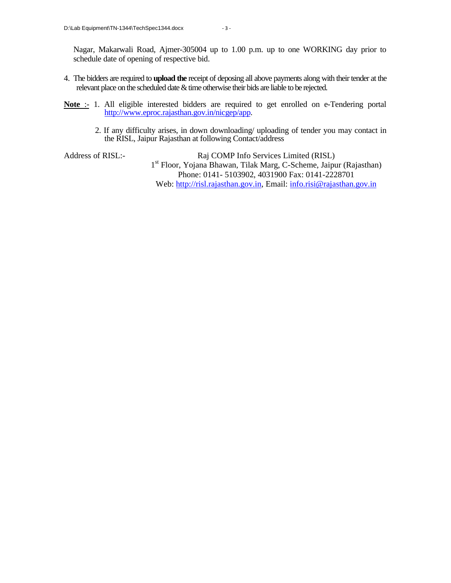Nagar, Makarwali Road, Ajmer-305004 up to 1.00 p.m. up to one WORKING day prior to schedule date of opening of respective bid.

- 4. The bidders are required to **upload the** receipt of deposing all above payments along with their tender at the relevant place on the scheduled date & time otherwise their bids are liable to be rejected.
- Note :- 1. All eligible interested bidders are required to get enrolled on e-Tendering portal http://www.eproc.rajasthan.gov.in/nicgep/app.
	- 2. If any difficulty arises, in down downloading/ uploading of tender you may contact in the RISL, Jaipur Rajasthan at following Contact/address

Address of RISL:- Raj COMP Info Services Limited (RISL) 1 st Floor, Yojana Bhawan, Tilak Marg, C-Scheme, Jaipur (Rajasthan) Phone: 0141- 5103902, 4031900 Fax: 0141-2228701 Web: http://risl.rajasthan.gov.in, Email: info.risi@rajasthan.gov.in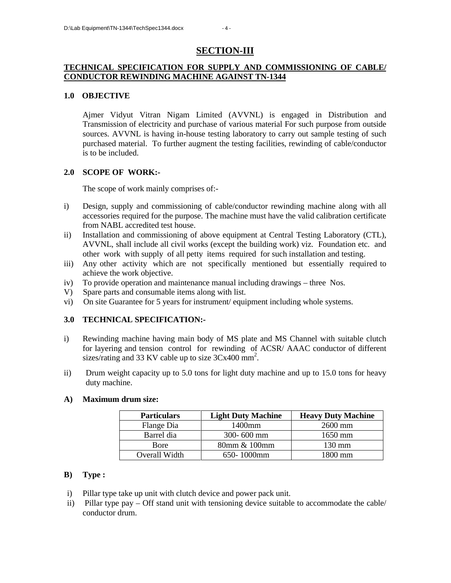### **SECTION-III**

### **TECHNICAL SPECIFICATION FOR SUPPLY AND COMMISSIONING OF CABLE/ CONDUCTOR REWINDING MACHINE AGAINST TN-1344**

### **1.0 OBJECTIVE**

Ajmer Vidyut Vitran Nigam Limited (AVVNL) is engaged in Distribution and Transmission of electricity and purchase of various material For such purpose from outside sources. AVVNL is having in-house testing laboratory to carry out sample testing of such purchased material. To further augment the testing facilities, rewinding of cable/conductor is to be included.

#### **2.0 SCOPE OF WORK:-**

The scope of work mainly comprises of:-

- i) Design, supply and commissioning of cable/conductor rewinding machine along with all accessories required for the purpose. The machine must have the valid calibration certificate from NABL accredited test house.
- ii) Installation and commissioning of above equipment at Central Testing Laboratory (CTL), AVVNL, shall include all civil works (except the building work) viz. Foundation etc. and other work with supply of all petty items required for such installation and testing.
- iii) Any other activity which are not specifically mentioned but essentially required to achieve the work objective.
- iv) To provide operation and maintenance manual including drawings three Nos.
- V) Spare parts and consumable items along with list.
- vi) On site Guarantee for 5 years for instrument/ equipment including whole systems.

### **3.0 TECHNICAL SPECIFICATION:-**

- i) Rewinding machine having main body of MS plate and MS Channel with suitable clutch for layering and tension control for rewinding of ACSR/ AAAC conductor of different sizes/rating and 33 KV cable up to size  $3Cx400$  mm<sup>2</sup>.
- ii) Drum weight capacity up to 5.0 tons for light duty machine and up to 15.0 tons for heavy duty machine.

#### **A) Maximum drum size:**

| <b>Particulars</b> | <b>Light Duty Machine</b> | <b>Heavy Duty Machine</b> |
|--------------------|---------------------------|---------------------------|
| Flange Dia         | 1400mm                    | 2600 mm                   |
| Barrel dia         | $300 - 600$ mm            | $1650$ mm                 |
| <b>B</b> ore       | 80mm & 100mm              | $130 \text{ mm}$          |
| Overall Width      | 650-1000mm                | 1800 mm                   |

#### **B) Type :**

- i) Pillar type take up unit with clutch device and power pack unit.
- ii) Pillar type pay Off stand unit with tensioning device suitable to accommodate the cable/ conductor drum.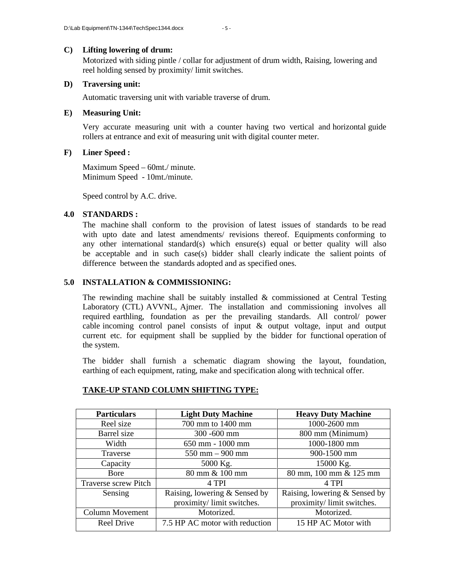#### **C) Lifting lowering of drum:**

Motorized with siding pintle / collar for adjustment of drum width, Raising, lowering and reel holding sensed by proximity/ limit switches.

#### **D) Traversing unit:**

Automatic traversing unit with variable traverse of drum.

#### **E) Measuring Unit:**

Very accurate measuring unit with a counter having two vertical and horizontal guide rollers at entrance and exit of measuring unit with digital counter meter.

#### **F) Liner Speed :**

Maximum Speed – 60mt./ minute. Minimum Speed - 10mt./minute.

Speed control by A.C. drive.

### **4.0 STANDARDS :**

The machine shall conform to the provision of latest issues of standards to be read with upto date and latest amendments/ revisions thereof. Equipments conforming to any other international standard(s) which ensure(s) equal or better quality will also be acceptable and in such case(s) bidder shall clearly indicate the salient points of difference between the standards adopted and as specified ones.

#### **5.0 INSTALLATION & COMMISSIONING:**

The rewinding machine shall be suitably installed  $\&$  commissioned at Central Testing Laboratory (CTL) AVVNL, Ajmer. The installation and commissioning involves all required earthling, foundation as per the prevailing standards. All control/ power cable incoming control panel consists of input & output voltage, input and output current etc. for equipment shall be supplied by the bidder for functional operation of the system.

The bidder shall furnish a schematic diagram showing the layout, foundation, earthing of each equipment, rating, make and specification along with technical offer.

| <b>Particulars</b>     | <b>Light Duty Machine</b>      | <b>Heavy Duty Machine</b>     |
|------------------------|--------------------------------|-------------------------------|
| Reel size              | 700 mm to 1400 mm              | 1000-2600 mm                  |
| Barrel size            | 300 -600 mm                    | 800 mm (Minimum)              |
| Width                  | 650 mm - 1000 mm               | 1000-1800 mm                  |
| Traverse               | $550$ mm $-900$ mm             | 900-1500 mm                   |
| Capacity               | 5000 Kg.                       | 15000 Kg.                     |
| Bore                   | 80 mm & 100 mm                 | 80 mm, 100 mm & 125 mm        |
| Traverse screw Pitch   | 4 TPI                          | 4 TPI                         |
| Sensing                | Raising, lowering & Sensed by  | Raising, lowering & Sensed by |
|                        | proximity/limit switches.      | proximity/limit switches.     |
| <b>Column Movement</b> | Motorized.                     | Motorized.                    |
| Reel Drive             | 7.5 HP AC motor with reduction | 15 HP AC Motor with           |

#### **TAKE-UP STAND COLUMN SHIFTING TYPE:**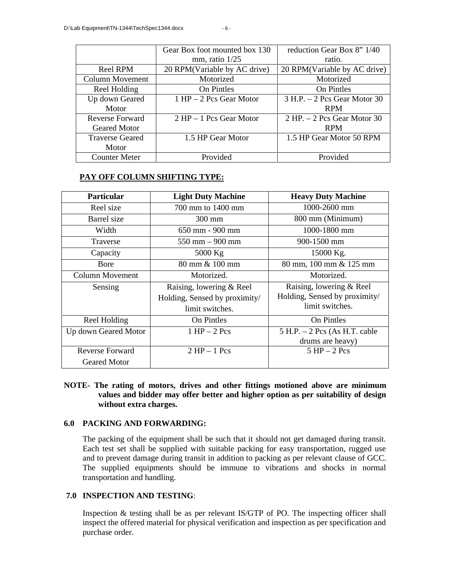|                        | Gear Box foot mounted box 130 | reduction Gear Box 8" 1/40     |  |
|------------------------|-------------------------------|--------------------------------|--|
|                        | mm, ratio $1/25$              | ratio.                         |  |
| Reel RPM               | 20 RPM(Variable by AC drive)  | 20 RPM (Variable by AC drive)  |  |
| Column Movement        | Motorized                     | Motorized                      |  |
| Reel Holding           | On Pintles                    | On Pintles                     |  |
| Up down Geared         | $1$ HP $-$ 2 Pcs Gear Motor   | $3 H.P. - 2 Pcs Gear Motor 30$ |  |
| Motor                  |                               | <b>RPM</b>                     |  |
| Reverse Forward        | $2$ HP $-1$ Pcs Gear Motor    | $2$ HP. $-2$ Pcs Gear Motor 30 |  |
| Geared Motor           |                               | <b>RPM</b>                     |  |
| <b>Traverse Geared</b> | 1.5 HP Gear Motor             | 1.5 HP Gear Motor 50 RPM       |  |
| Motor                  |                               |                                |  |
| <b>Counter Meter</b>   | Provided                      | Provided                       |  |

### **PAY OFF COLUMN SHIFTING TYPE:**

| <b>Particular</b>    | <b>Light Duty Machine</b>         | <b>Heavy Duty Machine</b>        |
|----------------------|-----------------------------------|----------------------------------|
| Reel size            | 700 mm to 1400 mm                 | 1000-2600 mm                     |
| Barrel size          | 300 mm                            | 800 mm (Minimum)                 |
| Width                | 650 mm - 900 mm                   | 1000-1800 mm                     |
| Traverse             | $550 \text{ mm} - 900 \text{ mm}$ | 900-1500 mm                      |
| Capacity             | 5000 Kg                           | 15000 Kg.                        |
| Bore                 | 80 mm & 100 mm                    | 80 mm, 100 mm & 125 mm           |
| Column Movement      | Motorized.                        | Motorized.                       |
| Sensing              | Raising, lowering & Reel          | Raising, lowering & Reel         |
|                      | Holding, Sensed by proximity/     | Holding, Sensed by proximity/    |
|                      | limit switches.                   | limit switches.                  |
| Reel Holding         | On Pintles                        | On Pintles                       |
| Up down Geared Motor | $1$ HP $-$ 2 Pcs                  | $5$ H.P. $-2$ Pcs (As H.T. cable |
|                      |                                   | drums are heavy)                 |
| Reverse Forward      | $2$ HP $-1$ Pcs                   | $5$ HP $-$ 2 Pcs                 |
| <b>Geared Motor</b>  |                                   |                                  |

### **NOTE- The rating of motors, drives and other fittings motioned above are minimum values and bidder may offer better and higher option as per suitability of design without extra charges.**

### **6.0 PACKING AND FORWARDING:**

The packing of the equipment shall be such that it should not get damaged during transit. Each test set shall be supplied with suitable packing for easy transportation, rugged use and to prevent damage during transit in addition to packing as per relevant clause of GCC. The supplied equipments should be immune to vibrations and shocks in normal transportation and handling.

### **7.0 INSPECTION AND TESTING**:

Inspection & testing shall be as per relevant IS/GTP of PO. The inspecting officer shall inspect the offered material for physical verification and inspection as per specification and purchase order.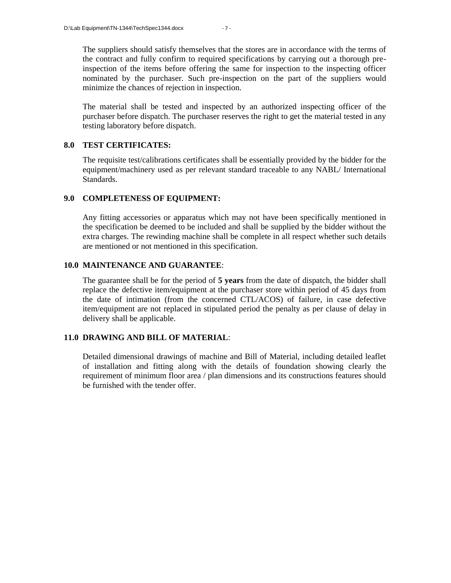The suppliers should satisfy themselves that the stores are in accordance with the terms of the contract and fully confirm to required specifications by carrying out a thorough preinspection of the items before offering the same for inspection to the inspecting officer nominated by the purchaser. Such pre-inspection on the part of the suppliers would minimize the chances of rejection in inspection.

The material shall be tested and inspected by an authorized inspecting officer of the purchaser before dispatch. The purchaser reserves the right to get the material tested in any testing laboratory before dispatch.

### **8.0 TEST CERTIFICATES:**

The requisite test/calibrations certificates shall be essentially provided by the bidder for the equipment/machinery used as per relevant standard traceable to any NABL/ International Standards.

### **9.0 COMPLETENESS OF EQUIPMENT:**

Any fitting accessories or apparatus which may not have been specifically mentioned in the specification be deemed to be included and shall be supplied by the bidder without the extra charges. The rewinding machine shall be complete in all respect whether such details are mentioned or not mentioned in this specification.

### **10.0 MAINTENANCE AND GUARANTEE**:

The guarantee shall be for the period of **5 years** from the date of dispatch, the bidder shall replace the defective item/equipment at the purchaser store within period of 45 days from the date of intimation (from the concerned CTL/ACOS) of failure, in case defective item/equipment are not replaced in stipulated period the penalty as per clause of delay in delivery shall be applicable.

### **11.0 DRAWING AND BILL OF MATERIAL**:

Detailed dimensional drawings of machine and Bill of Material, including detailed leaflet of installation and fitting along with the details of foundation showing clearly the requirement of minimum floor area / plan dimensions and its constructions features should be furnished with the tender offer.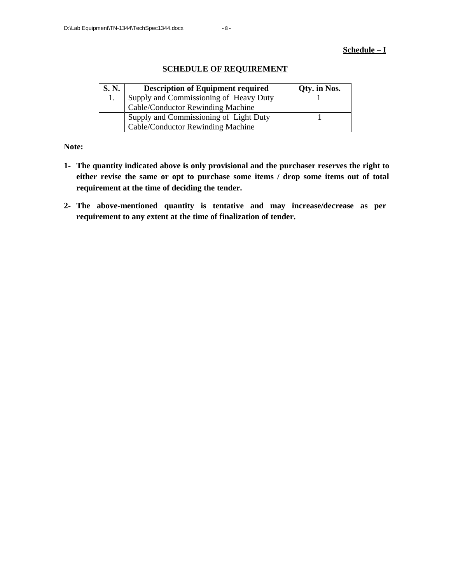#### **Schedule – I**

| S. N. | <b>Description of Equipment required</b> | Qty. in Nos. |
|-------|------------------------------------------|--------------|
|       | Supply and Commissioning of Heavy Duty   |              |
|       | Cable/Conductor Rewinding Machine        |              |
|       | Supply and Commissioning of Light Duty   |              |
|       | Cable/Conductor Rewinding Machine        |              |

### **SCHEDULE OF REQUIREMENT**

**Note:**

- **1- The quantity indicated above is only provisional and the purchaser reserves the right to either revise the same or opt to purchase some items / drop some items out of total requirement at the time of deciding the tender.**
- **2- The above-mentioned quantity is tentative and may increase/decrease as per requirement to any extent at the time of finalization of tender.**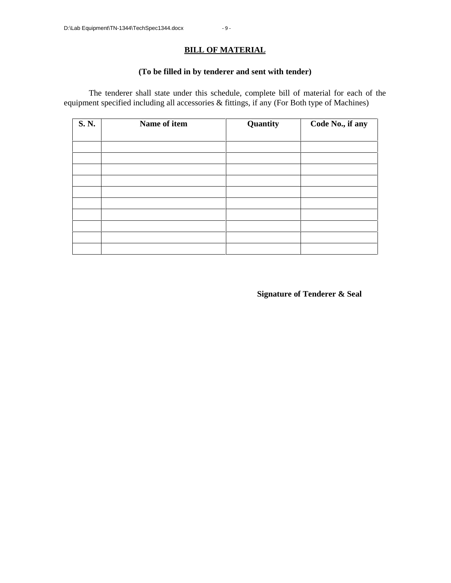### **BILL OF MATERIAL**

### **(To be filled in by tenderer and sent with tender)**

The tenderer shall state under this schedule, complete bill of material for each of the equipment specified including all accessories & fittings, if any (For Both type of Machines)

| S. N. | Name of item | Quantity | Code No., if any |
|-------|--------------|----------|------------------|
|       |              |          |                  |
|       |              |          |                  |
|       |              |          |                  |
|       |              |          |                  |
|       |              |          |                  |
|       |              |          |                  |
|       |              |          |                  |
|       |              |          |                  |
|       |              |          |                  |
|       |              |          |                  |
|       |              |          |                  |

**Signature of Tenderer & Seal**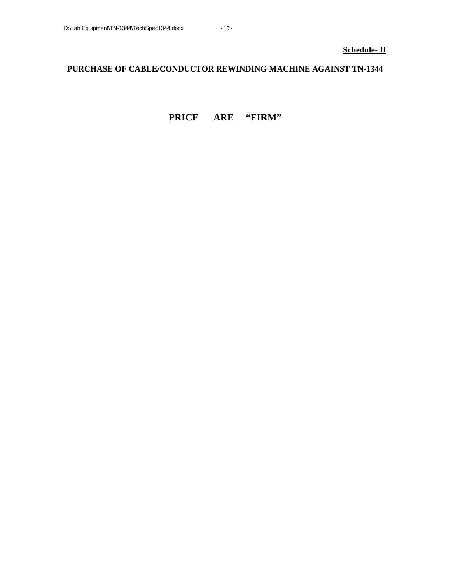### **PURCHASE OF CABLE/CONDUCTOR REWINDING MACHINE AGAINST TN-1344**

### **PRICE ARE "FIRM"**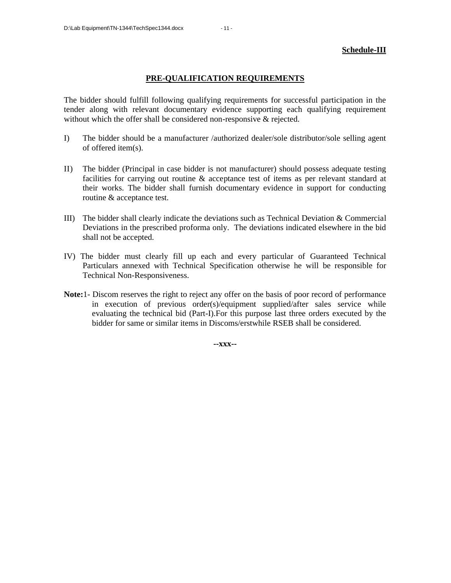**Schedule-III**

#### **PRE-QUALIFICATION REQUIREMENTS**

The bidder should fulfill following qualifying requirements for successful participation in the tender along with relevant documentary evidence supporting each qualifying requirement without which the offer shall be considered non-responsive & rejected.

- I) The bidder should be a manufacturer /authorized dealer/sole distributor/sole selling agent of offered item(s).
- II) The bidder (Principal in case bidder is not manufacturer) should possess adequate testing facilities for carrying out routine & acceptance test of items as per relevant standard at their works. The bidder shall furnish documentary evidence in support for conducting routine & acceptance test.
- III) The bidder shall clearly indicate the deviations such as Technical Deviation & Commercial Deviations in the prescribed proforma only. The deviations indicated elsewhere in the bid shall not be accepted.
- IV) The bidder must clearly fill up each and every particular of Guaranteed Technical Particulars annexed with Technical Specification otherwise he will be responsible for Technical Non-Responsiveness.
- **Note:**1- Discom reserves the right to reject any offer on the basis of poor record of performance in execution of previous order(s)/equipment supplied/after sales service while evaluating the technical bid (Part-I).For this purpose last three orders executed by the bidder for same or similar items in Discoms/erstwhile RSEB shall be considered.

**--xxx--**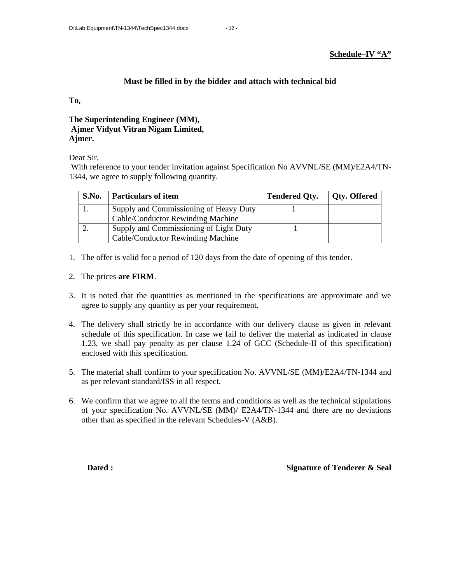**Schedule–IV "A"**

### **Must be filled in by the bidder and attach with technical bid**

**To,**

**The Superintending Engineer (MM), Ajmer Vidyut Vitran Nigam Limited, Ajmer.**

Dear Sir,

With reference to your tender invitation against Specification No AVVNL/SE (MM)/E2A4/TN-1344, we agree to supply following quantity.

| S.No. | <b>Particulars of item</b>             | <b>Tendered Oty.</b> | <b>Qty. Offered</b> |
|-------|----------------------------------------|----------------------|---------------------|
|       | Supply and Commissioning of Heavy Duty |                      |                     |
|       | Cable/Conductor Rewinding Machine      |                      |                     |
|       | Supply and Commissioning of Light Duty |                      |                     |
|       | Cable/Conductor Rewinding Machine      |                      |                     |

1. The offer is valid for a period of 120 days from the date of opening of this tender.

### 2. The prices **are FIRM**.

- 3. It is noted that the quantities as mentioned in the specifications are approximate and we agree to supply any quantity as per your requirement.
- 4. The delivery shall strictly be in accordance with our delivery clause as given in relevant schedule of this specification. In case we fail to deliver the material as indicated in clause 1.23, we shall pay penalty as per clause 1.24 of GCC (Schedule-II of this specification) enclosed with this specification.
- 5. The material shall confirm to your specification No. AVVNL/SE (MM)/E2A4/TN-1344 and as per relevant standard/ISS in all respect.
- 6. We confirm that we agree to all the terms and conditions as well as the technical stipulations of your specification No. AVVNL/SE (MM)/ E2A4/TN-1344 and there are no deviations other than as specified in the relevant Schedules-V (A&B).

**Dated : Signature of Tenderer & Seal**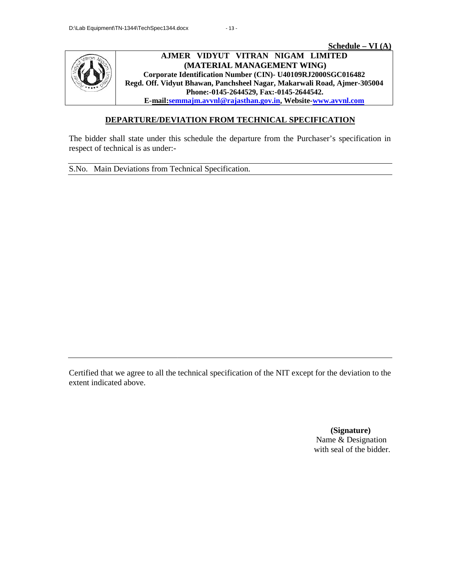**Schedule – VI (A)**



**AJMER VIDYUT VITRAN NIGAM LIMITED (MATERIAL MANAGEMENT WING) Corporate Identification Number (CIN)- U40109RJ2000SGC016482 Regd. Off. Vidyut Bhawan, Panchsheel Nagar, Makarwali Road, Ajmer-305004 Bhawan, Panchsheel Ajmer-305004Fax:-0145-2644542.Phone:-0145-2644529, Fax:-0145-2644542. E-mail:semmajm.avvnl@rajasthan.gov.in, Website-www.avvnl.com** <u>Schedule – VI (A)</u><br>VIDYUT VITRAN NIGAM LIMITED<br>ATERIAL MANAGEMENT WING)

### **DEPARTURE/DEVIATION FROM TECHNICAL SPECIFICATION TECHNICAL**

The bidder shall state under this schedule the departure from the Purchaser's specification in respect of technical is as under:-

S.No. Main Deviations from Technical Specification.

Certified that we agree to all the technical specification of the NIT except for the deviation to the extent indicated above. as under:-<br>
In Technical Specification.<br>
The total the technical specification of the NIT except Main state under this schedule the departure from the Purchaser's specification in<br>of technical is as under:-<br>Main Deviations from Technical Specification.<br>Main Deviations from Technical Specification.<br>And that we agree to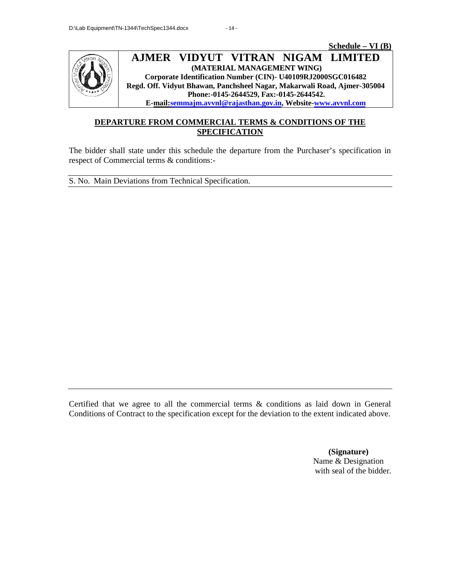



#### **AJMER VIDYUT VITRAN NIGAM LIMITED NIGAM AJMER (MATERIAL MANAGEMENT WING) Corporate Identification Number (CIN)- U40109RJ2000SGC016482 Regd. Off. Vidyut Bhawan, Panchsheel Nagar, Makarwali Road, Ajmer-305004 Phone:-0145-2644529, Fax:-0145-2644542. E-mail:semmajm.avvnl@rajasthan.gov.in, Website-www.avvnl.com** RIAL MANAGEMENT WING)<br>on Number (CIN)- U40109RJ2000SGC016482<br>Panchsheel Nagar, Makarwali Road, Ajmer-305004<br>145-2644529, Fax:-0145-2644542.

### **DEPARTURE FROM COMMERCIAL TERMS & CONDITIONS OF THE FROM TERMS SPECIFICATION**

The bidder shall state under this schedule the departure from the Purchaser's specification in respect of Commercial terms & conditions: respect of Commercial terms & conditions:-<br>S. No. Main Deviations from Technical Specification.

Certified that we agree to all the commercial terms & conditions as laid down in General Conditions of Contract to the specification except for the deviation to the extent indicated above. respect of Commercial terms & conditions:-<br>
S. No. Main Deviations from Technical Specification.<br>
Corditions of Contract to the specification except for the deviation to the extent indicated above.<br>
Conditions of Contract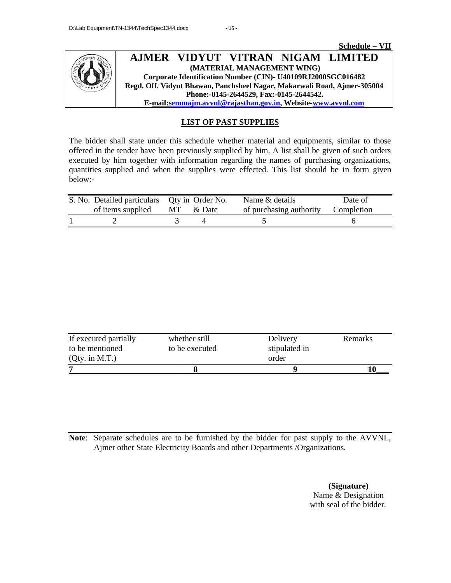

### **LIST OF PAST SUPPLIES**

The bidder shall state under this schedule whether material and equipments, similar to those The bidder shall state under this schedule whether material and equipments, similar to those offered in the tender have been previously supplied by him. A list shall be given of such orders executed by him together with information regarding the names of purchasing organizations, quantities supplied and when the supplies were effected. This list should be in form given below: executed by him together with information regarding the names of purchasing organizations,<br>quantities supplied and when the supplies were effected. This list should be in form given<br>below:-<br>S. No. Detailed particulars Qty ider shall state under this schedule whether material and equipments, similar to those<br>
in the tender have been previously supplied by linn. A list shall be given of such orders<br>
d by him together with information regardin

| S. No. Detailed particulars Qty in Order No. |  | Name & details                     | Date of |
|----------------------------------------------|--|------------------------------------|---------|
| of items supplied MT & Date                  |  | of purchasing authority Completion |         |
|                                              |  |                                    |         |

| If executed partially | whether still  | Delivery      | Remarks |
|-----------------------|----------------|---------------|---------|
| to be mentioned       | to be executed | stipulated in |         |
| (Qty. in M.T.)        |                | order         |         |
|                       |                |               |         |

**Note**: Separate schedules are to be furnished by the bidder for past supply to the AVVNL, Separate schedules are to be furnished by the bidder for past supply to the A Ajmer other State Electricity Boards and other Departments /Organizations.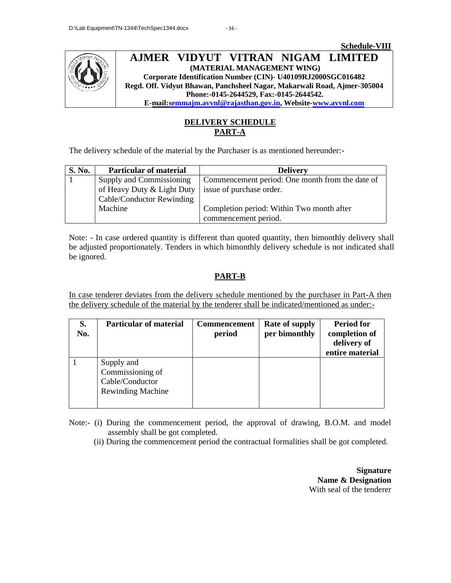



### **DELIVERY SCHEDULE PART-A**

| S. No. | <b>Particular of material</b> | <b>Delivery</b>                                                                                   |
|--------|-------------------------------|---------------------------------------------------------------------------------------------------|
|        | Supply and Commissioning      | Commencement period: One month from the date of                                                   |
|        | of Heavy Duty & Light Duty    | issue of purchase order.                                                                          |
|        | Cable/Conductor Rewinding     |                                                                                                   |
|        | Machine                       | Completion period: Within Two month after                                                         |
|        |                               | commencement period.                                                                              |
|        |                               |                                                                                                   |
|        |                               | Note: - In case ordered quantity is different than quoted quantity, then bimonthly delivery shall |
|        |                               | be adjusted proportionately. Tenders in which bimonthly delivery schedule is not indicated shall  |

### **PART-B PART-B**

| The delivery schedule of the material by the Purchaser is as mentioned hereunder:-<br><b>Particular of material</b><br>S. No.<br><b>Delivery</b><br>Supply and Commissioning<br>Commencement period: One month from the date of<br>of Heavy Duty & Light Duty<br>issue of purchase order.<br>Cable/Conductor Rewinding<br>Machine<br>Completion period: Within Two month after<br>commencement period.<br>Note: - In case ordered quantity is different than quoted quantity, then bimonthly delivery shall<br>be adjusted proportionately. Tenders in which bimonthly delivery schedule is not indicated shall<br>be ignored. |
|--------------------------------------------------------------------------------------------------------------------------------------------------------------------------------------------------------------------------------------------------------------------------------------------------------------------------------------------------------------------------------------------------------------------------------------------------------------------------------------------------------------------------------------------------------------------------------------------------------------------------------|
|                                                                                                                                                                                                                                                                                                                                                                                                                                                                                                                                                                                                                                |
|                                                                                                                                                                                                                                                                                                                                                                                                                                                                                                                                                                                                                                |
|                                                                                                                                                                                                                                                                                                                                                                                                                                                                                                                                                                                                                                |
|                                                                                                                                                                                                                                                                                                                                                                                                                                                                                                                                                                                                                                |
|                                                                                                                                                                                                                                                                                                                                                                                                                                                                                                                                                                                                                                |
|                                                                                                                                                                                                                                                                                                                                                                                                                                                                                                                                                                                                                                |
|                                                                                                                                                                                                                                                                                                                                                                                                                                                                                                                                                                                                                                |
| In case tenderer deviates from the delivery schedule mentioned by the purchaser in Part-A then<br>the delivery schedule of the material by the tenderer shall be indicated/mentioned as under:-<br>S.<br><b>Particular of material</b><br><b>Period for</b><br>Rate of supply<br>Commencement                                                                                                                                                                                                                                                                                                                                  |
| per bimonthly<br>completion of<br>No.<br>period                                                                                                                                                                                                                                                                                                                                                                                                                                                                                                                                                                                |
| delivery of                                                                                                                                                                                                                                                                                                                                                                                                                                                                                                                                                                                                                    |
| entire material<br>$\mathbf{1}$<br>Supply and                                                                                                                                                                                                                                                                                                                                                                                                                                                                                                                                                                                  |
| Commissioning of                                                                                                                                                                                                                                                                                                                                                                                                                                                                                                                                                                                                               |
| Cable/Conductor<br><b>Rewinding Machine</b>                                                                                                                                                                                                                                                                                                                                                                                                                                                                                                                                                                                    |

**Signature Name & Designation** With seal of the tenderer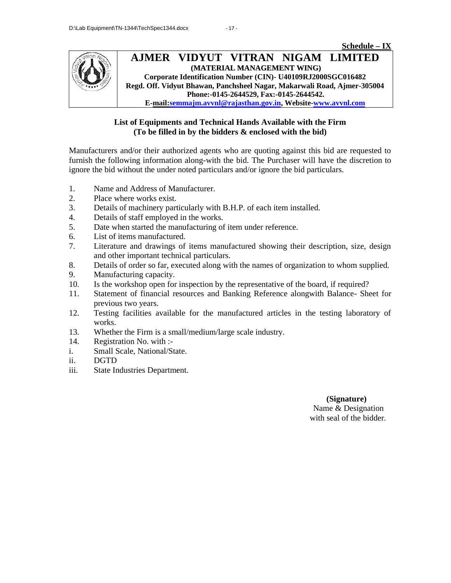

### **List of Equipments and Technical Hands Available with the Firm**<br>(To be filled in by the bidders & enclosed with the bid) **(To be filled in by the bidders & enclosed with the bid) by**

Manufacturers and/or their authorized agents who are quoting against this bid are requested to furnish the following information along-with the bid. The Purchaser will have the discretion to ignore the bid without the under noted particulars and/or ignore the bid particulars. Manufacturers and/or their authorized agents who are quoting against this bid are requested to<br>furnish the following information along-with the bid. The Purchaser will have the discretion to<br>ignore the bid without the unde

- 1. Name and Address of Manufacturer.
- 2. Place where works exist.
- 3. Details of machinery particularly with B.H.P. of each item installed.
- 4. Details of staff employed in the works.
- 5. Date when started the manufacturing of item under reference.
- 6. List of items manufactured.
- 7. Literature and drawings of items manufactured showing their description, size, design and other important technical particulars. furnish the following information along-with the bid. T<br>
ignore the bid without the under noted particulars and/or<br>
1. Name and Address of Manufacturer.<br>
2. Place where works exist.<br>
2. Details of staff employed in the wor
- 8. Details of order so far, executed along with the names of organization to whom supplied. 10. Is the workshop open for inspection by the representative of the board, if required?<br>
10. Is the workshop open for inspection by the representative of the board, if required?
- 9. Manufacturing capacity.
- 
- 11. Statement of financial resources and Banking Reference alongwith Balance- Sheet for previous two years. 11. Statement of financial resources and Banking Reference alongwith Balance- Sheet for<br>previous two years.<br>12. Testing facilities available for the manufactured articles in the testing laboratory of
- works.
- 13. Whether the Firm is a small/medium/large scale industry.
- 14. Registration No. with :-
- i. Small Scale, National/State.
- ii. DGTD
- iii. State Industries Department.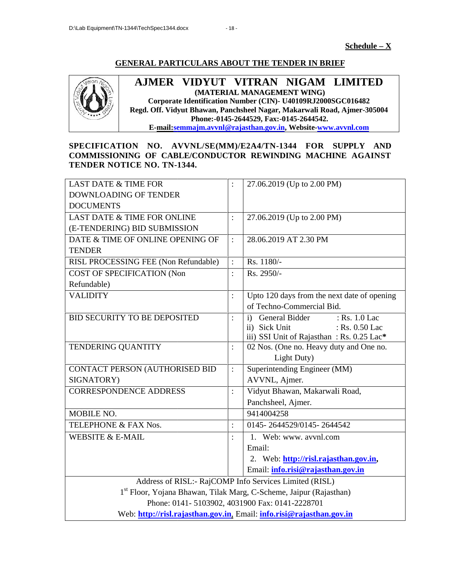### **GENERAL PARTICULARS ABOUT THE TENDER IN BRIEF**



### **AJMER VIDYUT VITRAN NIGAM LIMITED (MATERIAL MANAGEMENT WING) Corporate Identification Number (CIN)- U40109RJ2000SGC016482 Regd. Off. Vidyut Bhawan, Panchsheel Nagar, Makarwali Road, Ajmer-305004 Corporate Vidyut Nagar, Phone:-0145-2644529, Fax:-0145-2644542. E-mail:semmajm.avvnl@rajasthan.gov.in, Website-www.avvnl.com**

| <b>GENERAL PARTICULARS ABOUT THE TENDER IN BRIEF</b><br>AJMER VIDYUT VITRAN NIGAM LIMITED<br>(MATERIAL MANAGEMENT WING)<br>Corporate Identification Number (CIN)- U40109RJ2000SGC016482<br>Regd. Off. Vidyut Bhawan, Panchsheel Nagar, Makarwali Road, Ajmer-305004<br>Phone:-0145-2644529, Fax:-0145-2644542.<br>E-mail:semmajm.avvnl@rajasthan.gov.in, Website-www.avvnl.com |                |                                                                                                                                 |  |  |  |  |  |  |
|--------------------------------------------------------------------------------------------------------------------------------------------------------------------------------------------------------------------------------------------------------------------------------------------------------------------------------------------------------------------------------|----------------|---------------------------------------------------------------------------------------------------------------------------------|--|--|--|--|--|--|
| SPECIFICATION NO. AVVNL/SE(MM)/E2A4/TN-1344 FOR SUPPLY AND<br>COMMISSIONING OF CABLE/CONDUCTOR REWINDING MACHINE AGAINST<br>TENDER NOTICE NO. TN-1344.                                                                                                                                                                                                                         |                |                                                                                                                                 |  |  |  |  |  |  |
| <b>LAST DATE &amp; TIME FOR</b><br>DOWNLOADING OF TENDER<br><b>DOCUMENTS</b>                                                                                                                                                                                                                                                                                                   |                | 27.06.2019 (Up to 2.00 PM)                                                                                                      |  |  |  |  |  |  |
| LAST DATE & TIME FOR ONLINE<br>(E-TENDERING) BID SUBMISSION                                                                                                                                                                                                                                                                                                                    | $\ddot{\cdot}$ | 27.06.2019 (Up to 2.00 PM)                                                                                                      |  |  |  |  |  |  |
| DATE & TIME OF ONLINE OPENING OF<br><b>TENDER</b>                                                                                                                                                                                                                                                                                                                              | $\ddot{\cdot}$ | 28.06.2019 AT 2.30 PM                                                                                                           |  |  |  |  |  |  |
| RISL PROCESSING FEE (Non Refundable)                                                                                                                                                                                                                                                                                                                                           | $\ddot{\cdot}$ | Rs. 1180/-                                                                                                                      |  |  |  |  |  |  |
| <b>COST OF SPECIFICATION (Non</b><br>Refundable)                                                                                                                                                                                                                                                                                                                               | $\ddot{\cdot}$ | Rs. 2950/-                                                                                                                      |  |  |  |  |  |  |
| <b>VALIDITY</b>                                                                                                                                                                                                                                                                                                                                                                | $\colon$       | Upto 120 days from the next date of opening<br>of Techno-Commercial Bid.                                                        |  |  |  |  |  |  |
| BID SECURITY TO BE DEPOSITED                                                                                                                                                                                                                                                                                                                                                   | $\ddot{\cdot}$ | : Rs. 1.0 Lac<br>General Bidder<br>$\mathbf{i}$<br>ii) Sick Unit<br>: Rs. 0.50 Lac<br>iii) SSI Unit of Rajasthan: Rs. 0.25 Lac* |  |  |  |  |  |  |
| TENDERING QUANTITY                                                                                                                                                                                                                                                                                                                                                             | $\colon$       | 02 Nos. (One no. Heavy duty and One no.<br>Light Duty)                                                                          |  |  |  |  |  |  |
| CONTACT PERSON (AUTHORISED BID                                                                                                                                                                                                                                                                                                                                                 | $\ddot{\cdot}$ | Superintending Engineer (MM)                                                                                                    |  |  |  |  |  |  |
| SIGNATORY)                                                                                                                                                                                                                                                                                                                                                                     |                | AVVNL, Ajmer.                                                                                                                   |  |  |  |  |  |  |
| <b>CORRESPONDENCE ADDRESS</b>                                                                                                                                                                                                                                                                                                                                                  |                | Vidyut Bhawan, Makarwali Road,<br>Panchsheel, Ajmer.                                                                            |  |  |  |  |  |  |
| MOBILE NO.                                                                                                                                                                                                                                                                                                                                                                     |                | 9414004258                                                                                                                      |  |  |  |  |  |  |
| TELEPHONE & FAX Nos.                                                                                                                                                                                                                                                                                                                                                           | $\ddot{\cdot}$ | 0145-2644529/0145-2644542                                                                                                       |  |  |  |  |  |  |
| <b>WEBSITE &amp; E-MAIL</b>                                                                                                                                                                                                                                                                                                                                                    | $\ddot{\cdot}$ | 1. Web: www. avvnl.com                                                                                                          |  |  |  |  |  |  |
|                                                                                                                                                                                                                                                                                                                                                                                |                | Email:                                                                                                                          |  |  |  |  |  |  |
|                                                                                                                                                                                                                                                                                                                                                                                |                | 2. Web: http://risl.rajasthan.gov.in,                                                                                           |  |  |  |  |  |  |
|                                                                                                                                                                                                                                                                                                                                                                                |                | Email: info.risi@rajasthan.gov.in                                                                                               |  |  |  |  |  |  |
|                                                                                                                                                                                                                                                                                                                                                                                |                | Address of RISL:- RajCOMP Info Services Limited (RISL)                                                                          |  |  |  |  |  |  |
|                                                                                                                                                                                                                                                                                                                                                                                |                | 1st Floor, Yojana Bhawan, Tilak Marg, C-Scheme, Jaipur (Rajasthan)                                                              |  |  |  |  |  |  |
|                                                                                                                                                                                                                                                                                                                                                                                |                | Phone: 0141-5103902, 4031900 Fax: 0141-2228701                                                                                  |  |  |  |  |  |  |
|                                                                                                                                                                                                                                                                                                                                                                                |                | Web: http://risl.rajasthan.gov.in. Email: info.risi@rajasthan.gov.in                                                            |  |  |  |  |  |  |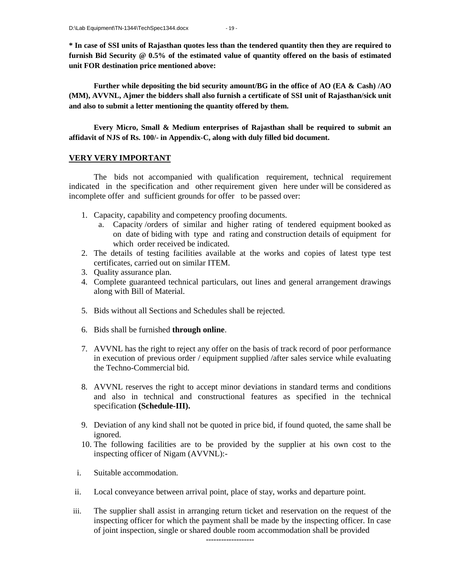**\* In case of SSI units of Rajasthan quotes less than the tendered quantity then they are required to furnish Bid Security @ 0.5% of the estimated value of quantity offered on the basis of estimated unit FOR destination price mentioned above:**

**Further while depositing the bid security amount/BG in the office of AO (EA & Cash) /AO (MM), AVVNL, Ajmer the bidders shall also furnish a certificate of SSI unit of Rajasthan/sick unit and also to submit a letter mentioning the quantity offered by them.**

**Every Micro, Small & Medium enterprises of Rajasthan shall be required to submit an affidavit of NJS of Rs. 100/- in Appendix-C, along with duly filled bid document.**

### **VERY VERY IMPORTANT**

The bids not accompanied with qualification requirement, technical requirement indicated in the specification and other requirement given here under will be considered as incomplete offer and sufficient grounds for offer to be passed over:

- 1. Capacity, capability and competency proofing documents.
	- a. Capacity /orders of similar and higher rating of tendered equipment booked as on date of biding with type and rating and construction details of equipment for which order received be indicated.
- 2. The details of testing facilities available at the works and copies of latest type test certificates, carried out on similar ITEM.
- 3. Quality assurance plan.
- 4. Complete guaranteed technical particulars, out lines and general arrangement drawings along with Bill of Material.
- 5. Bids without all Sections and Schedules shall be rejected.
- 6. Bids shall be furnished **through online**.
- 7. AVVNL has the right to reject any offer on the basis of track record of poor performance in execution of previous order / equipment supplied /after sales service while evaluating the Techno-Commercial bid.
- 8. AVVNL reserves the right to accept minor deviations in standard terms and conditions and also in technical and constructional features as specified in the technical specification **(Schedule-III).**
- 9. Deviation of any kind shall not be quoted in price bid, if found quoted, the same shall be ignored.
- 10. The following facilities are to be provided by the supplier at his own cost to the inspecting officer of Nigam (AVVNL):-
- i. Suitable accommodation.
- ii. Local conveyance between arrival point, place of stay, works and departure point.
- iii. The supplier shall assist in arranging return ticket and reservation on the request of the inspecting officer for which the payment shall be made by the inspecting officer. In case of joint inspection, single or shared double room accommodation shall be provided

**-------------------**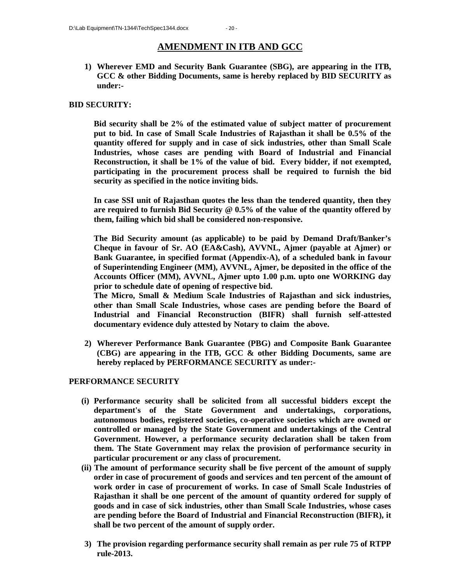### **AMENDMENT IN ITB AND GCC**

**1) Wherever EMD and Security Bank Guarantee (SBG), are appearing in the ITB, GCC & other Bidding Documents, same is hereby replaced by BID SECURITY as under:-**

### **BID SECURITY:**

**Bid security shall be 2% of the estimated value of subject matter of procurement put to bid. In case of Small Scale Industries of Rajasthan it shall be 0.5% of the quantity offered for supply and in case of sick industries, other than Small Scale Industries, whose cases are pending with Board of Industrial and Financial Reconstruction, it shall be 1% of the value of bid. Every bidder, if not exempted, participating in the procurement process shall be required to furnish the bid security as specified in the notice inviting bids.**

**In case SSI unit of Rajasthan quotes the less than the tendered quantity, then they are required to furnish Bid Security @ 0.5% of the value of the quantity offered by them, failing which bid shall be considered non-responsive.**

**The Bid Security amount (as applicable) to be paid by Demand Draft/Banker's Cheque in favour of Sr. AO (EA&Cash), AVVNL, Ajmer (payable at Ajmer) or Bank Guarantee, in specified format (Appendix-A), of a scheduled bank in favour of Superintending Engineer (MM), AVVNL, Ajmer, be deposited in the office of the Accounts Officer (MM), AVVNL, Ajmer upto 1.00 p.m. upto one WORKING day prior to schedule date of opening of respective bid.**

**The Micro, Small & Medium Scale Industries of Rajasthan and sick industries, other than Small Scale Industries, whose cases are pending before the Board of Industrial and Financial Reconstruction (BIFR) shall furnish self-attested documentary evidence duly attested by Notary to claim the above.**

**2) Wherever Performance Bank Guarantee (PBG) and Composite Bank Guarantee (CBG) are appearing in the ITB, GCC & other Bidding Documents, same are hereby replaced by PERFORMANCE SECURITY as under:-**

### **PERFORMANCE SECURITY**

- **(i) Performance security shall be solicited from all successful bidders except the department's of the State Government and undertakings, corporations, autonomous bodies, registered societies, co-operative societies which are owned or controlled or managed by the State Government and undertakings of the Central Government. However, a performance security declaration shall be taken from them. The State Government may relax the provision of performance security in particular procurement or any class of procurement.**
- **(ii) The amount of performance security shall be five percent of the amount of supply order in case of procurement of goods and services and ten percent of the amount of work order in case of procurement of works. In case of Small Scale Industries of Rajasthan it shall be one percent of the amount of quantity ordered for supply of goods and in case of sick industries, other than Small Scale Industries, whose cases are pending before the Board of Industrial and Financial Reconstruction (BIFR), it shall be two percent of the amount of supply order.**
- **3) The provision regarding performance security shall remain as per rule 75 of RTPP rule-2013.**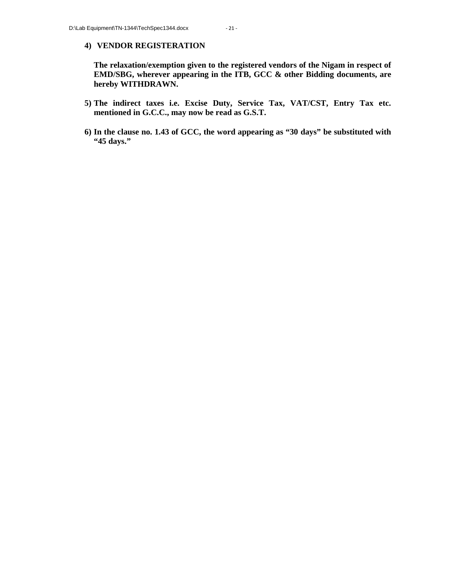#### **4) VENDOR REGISTERATION**

**The relaxation/exemption given to the registered vendors of the Nigam in respect of EMD/SBG, wherever appearing in the ITB, GCC & other Bidding documents, are hereby WITHDRAWN.**

- **5) The indirect taxes i.e. Excise Duty, Service Tax, VAT/CST, Entry Tax etc. mentioned in G.C.C., may now be read as G.S.T.**
- **6) In the clause no. 1.43 of GCC, the word appearing as "30 days" be substituted with "45 days."**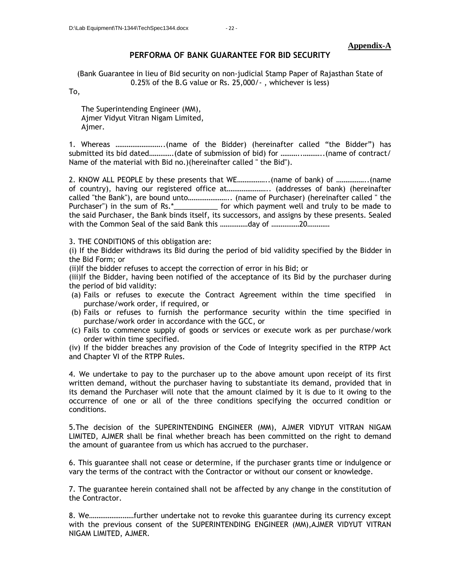#### **Appendix-A**

#### **PERFORMA OF BANK GUARANTEE FOR BID SECURITY**

(Bank Guarantee in lieu of Bid security on non-judicial Stamp Paper of Rajasthan State of 0.25% of the B.G value or Rs. 25,000/- , whichever is less)

To,

The Superintending Engineer (MM), Ajmer Vidyut Vitran Nigam Limited, Ajmer.

1. Whereas ……………………..(name of the Bidder) (hereinafter called "the Bidder") has submitted its bid dated………….(date of submission of bid) for ………..………..(name of contract/ Name of the material with Bid no.)(hereinafter called " the Bid").

2. KNOW ALL PEOPLE by these presents that WE……………..(name of bank) of ……………..(name of country), having our registered office at………………….. (addresses of bank) (hereinafter called "the Bank"), are bound unto………………….. (name of Purchaser) (hereinafter called " the Purchaser") in the sum of Rs.\*\_\_\_\_\_\_\_\_\_\_\_\_ for which payment well and truly to be made to the said Purchaser, the Bank binds itself, its successors, and assigns by these presents. Sealed with the Common Seal of the said Bank this ……………day of ……………20…………

3. THE CONDITIONS of this obligation are:

(i) If the Bidder withdraws its Bid during the period of bid validity specified by the Bidder in the Bid Form; or

(ii)If the bidder refuses to accept the correction of error in his Bid; or

(iii)If the Bidder, having been notified of the acceptance of its Bid by the purchaser during the period of bid validity:

- (a) Fails or refuses to execute the Contract Agreement within the time specified in purchase/work order, if required, or
- (b) Fails or refuses to furnish the performance security within the time specified in purchase/work order in accordance with the GCC, or
- (c) Fails to commence supply of goods or services or execute work as per purchase/work order within time specified.

(iv) If the bidder breaches any provision of the Code of Integrity specified in the RTPP Act and Chapter VI of the RTPP Rules.

4. We undertake to pay to the purchaser up to the above amount upon receipt of its first written demand, without the purchaser having to substantiate its demand, provided that in its demand the Purchaser will note that the amount claimed by it is due to it owing to the occurrence of one or all of the three conditions specifying the occurred condition or conditions.

5.The decision of the SUPERINTENDING ENGINEER (MM), AJMER VIDYUT VITRAN NIGAM LIMITED, AJMER shall be final whether breach has been committed on the right to demand the amount of guarantee from us which has accrued to the purchaser.

6. This guarantee shall not cease or determine, if the purchaser grants time or indulgence or vary the terms of the contract with the Contractor or without our consent or knowledge.

7. The guarantee herein contained shall not be affected by any change in the constitution of the Contractor.

8. We……………………further undertake not to revoke this guarantee during its currency except with the previous consent of the SUPERINTENDING ENGINEER (MM),AJMER VIDYUT VITRAN NIGAM LIMITED, AJMER.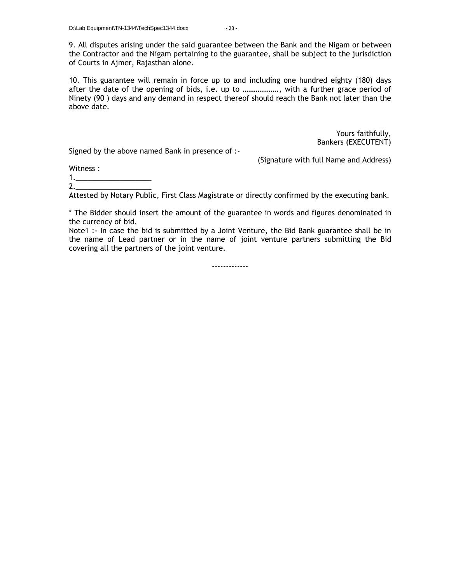9. All disputes arising under the said guarantee between the Bank and the Nigam or between the Contractor and the Nigam pertaining to the guarantee, shall be subject to the jurisdiction of Courts in Ajmer, Rajasthan alone.

10. This guarantee will remain in force up to and including one hundred eighty (180) days after the date of the opening of bids, i.e. up to ………………., with a further grace period of Ninety (90 ) days and any demand in respect thereof should reach the Bank not later than the above date.

> Yours faithfully, Bankers (EXECUTENT)

Signed by the above named Bank in presence of :-

(Signature with full Name and Address)

Witness :

1.\_\_\_\_\_\_\_\_\_\_\_\_\_\_\_\_\_\_\_

2.\_\_\_\_\_\_\_\_\_\_\_\_\_\_\_\_\_\_\_

Attested by Notary Public, First Class Magistrate or directly confirmed by the executing bank.

\* The Bidder should insert the amount of the guarantee in words and figures denominated in the currency of bid.

Note1 :- In case the bid is submitted by a Joint Venture, the Bid Bank guarantee shall be in the name of Lead partner or in the name of joint venture partners submitting the Bid covering all the partners of the joint venture.

-------------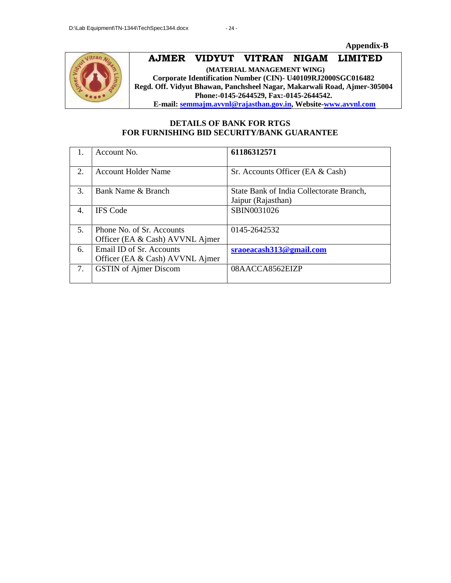**Appendix-B**



# **AJMER VIDYUT VITRAN NIGAM LIMITED**

**(MATERIAL MANAGEMENT WING) Corporate Identification Number (CIN)- U40109RJ2000SGC016482 Regd. Off. Vidyut Bhawan, Panchsheel Nagar, Makarwali Road, Ajmer-305004 Phone:-0145-2644529, Fax:-0145-2644542. E-mail: semmajm.avvnl@rajasthan.gov.in, Website-www.avvnl.com**

### **DETAILS OF BANK FOR RTGS FOR FURNISHING BID SECURITY/BANK GUARANTEE**

|                  | Account No.                                                  | 61186312571                                                    |
|------------------|--------------------------------------------------------------|----------------------------------------------------------------|
| $\overline{2}$ . | <b>Account Holder Name</b>                                   | Sr. Accounts Officer (EA & Cash)                               |
| 3.               | Bank Name & Branch                                           | State Bank of India Collectorate Branch,<br>Jaipur (Rajasthan) |
| 4.               | <b>IFS</b> Code                                              | SBIN0031026                                                    |
| 5.               | Phone No. of Sr. Accounts<br>Officer (EA & Cash) AVVNL Ajmer | 0145-2642532                                                   |
| 6.               | Email ID of Sr. Accounts<br>Officer (EA & Cash) AVVNL Ajmer  | sraoeacash313@gmail.com                                        |
| 7.               | <b>GSTIN</b> of Ajmer Discom                                 | 08AACCA8562EIZP                                                |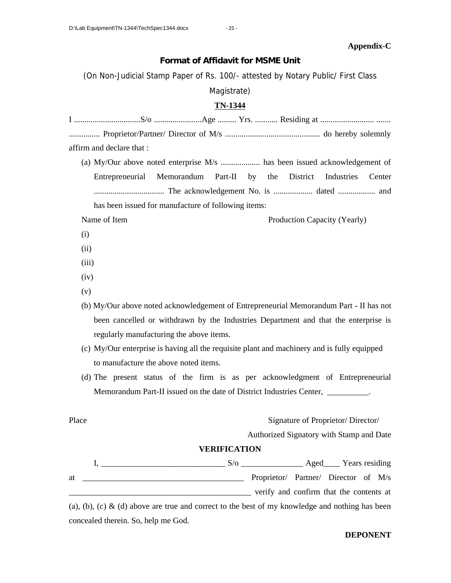#### **Appendix-C**

**Format of Affidavit for MSME Unit**

(On Non-Judicial Stamp Paper of Rs. 100/- attested by Notary Public/ First Class

Magistrate)

### **TN-1344**

| affirm and declare that : |  |  |
|---------------------------|--|--|

(a) My/Our above noted enterprise M/s ................... has been issued acknowledgement of Entrepreneurial Memorandum Part-II by the District Industries Center .................................. The acknowledgement No. is ................... dated .................. and has been issued for manufacture of following items:

- Name of Item Production Capacity (Yearly)
- (i)
- (ii)
- (iii)
- (iv)
- (v)
- (b) My/Our above noted acknowledgement of Entrepreneurial Memorandum Part II has not been cancelled or withdrawn by the Industries Department and that the enterprise is regularly manufacturing the above items.
- (c) My/Our enterprise is having all the requisite plant and machinery and is fully equipped to manufacture the above noted items.
- (d) The present status of the firm is as per acknowledgment of Entrepreneurial Memorandum Part-II issued on the date of District Industries Center, \_\_\_\_\_\_\_\_\_.

Place Signature of Proprietor/Director/

Authorized Signatory with Stamp and Date

### **VERIFICATION**

|    | S/o |                                         |  |
|----|-----|-----------------------------------------|--|
| at |     | Proprietor/ Partner/ Director of M/s    |  |
|    |     | verify and confirm that the contents at |  |

(a), (b), (c) & (d) above are true and correct to the best of my knowledge and nothing has been concealed therein. So, help me God.

### **DEPONENT**